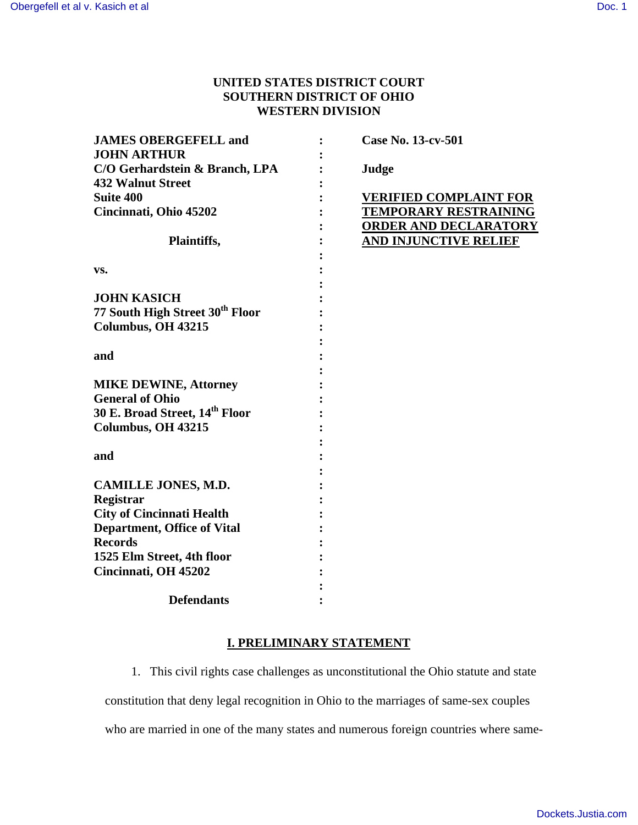# **UNITED STATES DISTRICT COURT SOUTHERN DISTRICT OF OHIO WESTERN DIVISION**

| <b>JAMES OBERGEFELL and</b>                | Case No. 13-cv-501            |
|--------------------------------------------|-------------------------------|
| <b>JOHN ARTHUR</b>                         |                               |
| C/O Gerhardstein & Branch, LPA             | Judge                         |
| <b>432 Walnut Street</b>                   |                               |
| <b>Suite 400</b>                           | <b>VERIFIED COMPLAINT FOR</b> |
| Cincinnati, Ohio 45202                     | <b>TEMPORARY RESTRAINING</b>  |
|                                            | <b>ORDER AND DECLARATORY</b>  |
| Plaintiffs,                                | AND INJUNCTIVE RELIEF         |
|                                            |                               |
| VS.                                        |                               |
|                                            |                               |
| <b>JOHN KASICH</b>                         |                               |
| 77 South High Street 30th Floor            |                               |
| <b>Columbus, OH 43215</b>                  |                               |
|                                            |                               |
| and                                        |                               |
|                                            |                               |
| <b>MIKE DEWINE, Attorney</b>               |                               |
| <b>General of Ohio</b>                     |                               |
| 30 E. Broad Street, 14 <sup>th</sup> Floor |                               |
| Columbus, OH 43215                         |                               |
|                                            |                               |
| and                                        |                               |
|                                            |                               |
| <b>CAMILLE JONES, M.D.</b>                 |                               |
| <b>Registrar</b>                           |                               |
| <b>City of Cincinnati Health</b>           |                               |
| <b>Department, Office of Vital</b>         |                               |
| <b>Records</b>                             |                               |
| 1525 Elm Street, 4th floor                 |                               |
| Cincinnati, OH 45202                       |                               |
|                                            |                               |
| <b>Defendants</b>                          |                               |
|                                            |                               |

# **I. PRELIMINARY STATEMENT**

1. This civil rights case challenges as unconstitutional the Ohio statute and state constitution that deny legal recognition in Ohio to the marriages of same-sex couples

who are married in one of the many states and numerous foreign countries where same-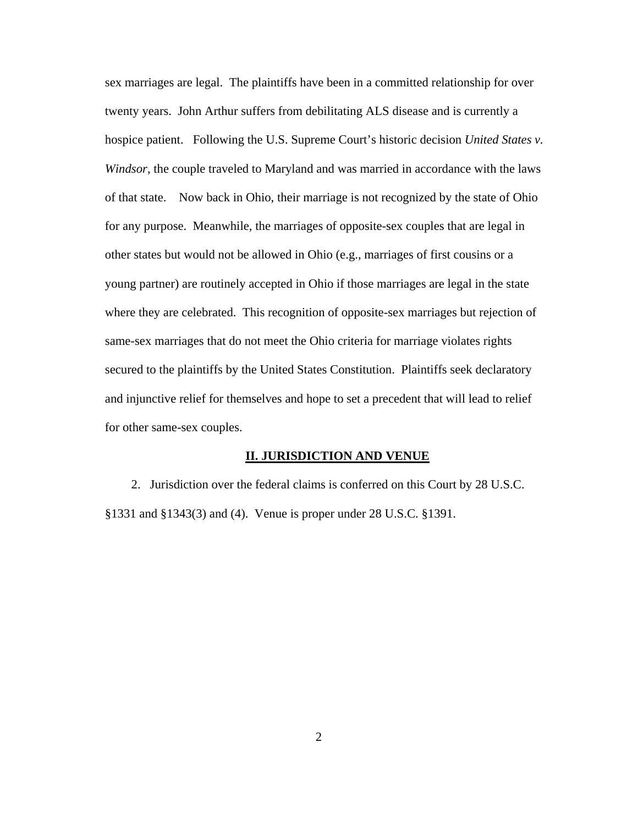sex marriages are legal. The plaintiffs have been in a committed relationship for over twenty years. John Arthur suffers from debilitating ALS disease and is currently a hospice patient. Following the U.S. Supreme Court's historic decision *United States v. Windsor*, the couple traveled to Maryland and was married in accordance with the laws of that state. Now back in Ohio, their marriage is not recognized by the state of Ohio for any purpose. Meanwhile, the marriages of opposite-sex couples that are legal in other states but would not be allowed in Ohio (e.g., marriages of first cousins or a young partner) are routinely accepted in Ohio if those marriages are legal in the state where they are celebrated. This recognition of opposite-sex marriages but rejection of same-sex marriages that do not meet the Ohio criteria for marriage violates rights secured to the plaintiffs by the United States Constitution. Plaintiffs seek declaratory and injunctive relief for themselves and hope to set a precedent that will lead to relief for other same-sex couples.

#### **II. JURISDICTION AND VENUE**

2. Jurisdiction over the federal claims is conferred on this Court by 28 U.S.C. §1331 and §1343(3) and (4). Venue is proper under 28 U.S.C. §1391.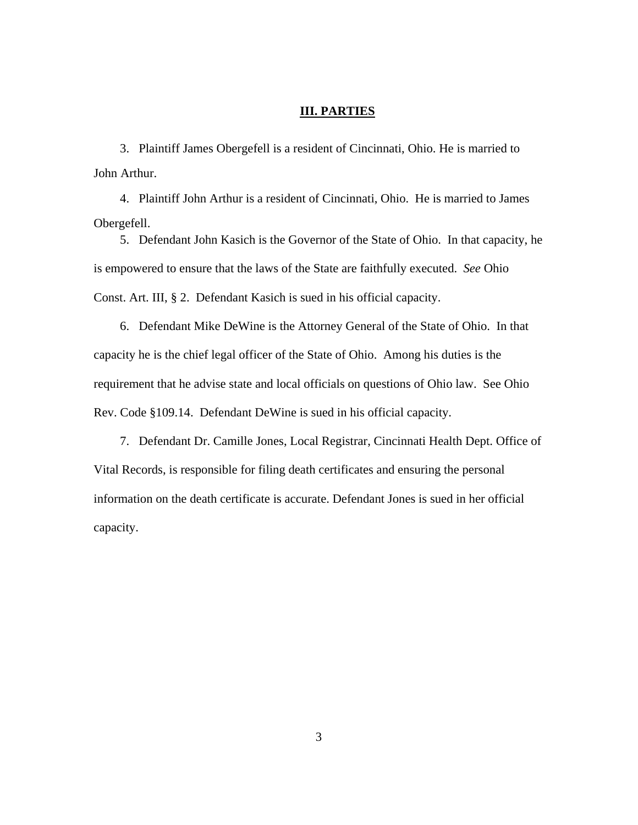## **III. PARTIES**

3. Plaintiff James Obergefell is a resident of Cincinnati, Ohio. He is married to John Arthur.

4. Plaintiff John Arthur is a resident of Cincinnati, Ohio. He is married to James Obergefell.

5. Defendant John Kasich is the Governor of the State of Ohio. In that capacity, he is empowered to ensure that the laws of the State are faithfully executed. *See* Ohio Const. Art. III, § 2. Defendant Kasich is sued in his official capacity.

6. Defendant Mike DeWine is the Attorney General of the State of Ohio. In that capacity he is the chief legal officer of the State of Ohio. Among his duties is the requirement that he advise state and local officials on questions of Ohio law. See Ohio Rev. Code §109.14. Defendant DeWine is sued in his official capacity.

7. Defendant Dr. Camille Jones, Local Registrar, Cincinnati Health Dept. Office of Vital Records, is responsible for filing death certificates and ensuring the personal information on the death certificate is accurate. Defendant Jones is sued in her official capacity.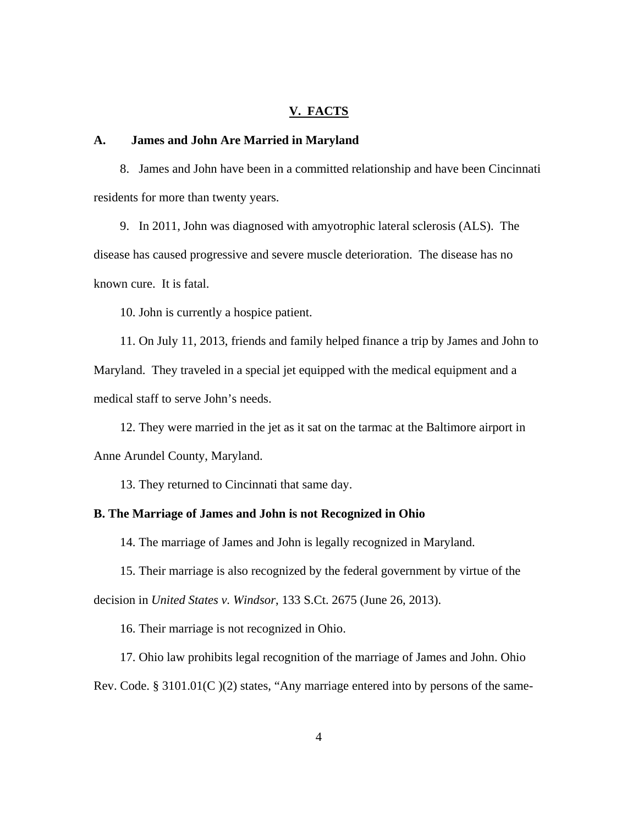## **V. FACTS**

### **A. James and John Are Married in Maryland**

8. James and John have been in a committed relationship and have been Cincinnati residents for more than twenty years.

9. In 2011, John was diagnosed with amyotrophic lateral sclerosis (ALS). The disease has caused progressive and severe muscle deterioration. The disease has no known cure. It is fatal.

10. John is currently a hospice patient.

11. On July 11, 2013, friends and family helped finance a trip by James and John to Maryland. They traveled in a special jet equipped with the medical equipment and a medical staff to serve John's needs.

12. They were married in the jet as it sat on the tarmac at the Baltimore airport in Anne Arundel County, Maryland.

13. They returned to Cincinnati that same day.

## **B. The Marriage of James and John is not Recognized in Ohio**

14. The marriage of James and John is legally recognized in Maryland.

15. Their marriage is also recognized by the federal government by virtue of the decision in *United States v. Windsor*, 133 S.Ct. 2675 (June 26, 2013).

16. Their marriage is not recognized in Ohio.

17. Ohio law prohibits legal recognition of the marriage of James and John. Ohio Rev. Code. § 3101.01(C )(2) states, "Any marriage entered into by persons of the same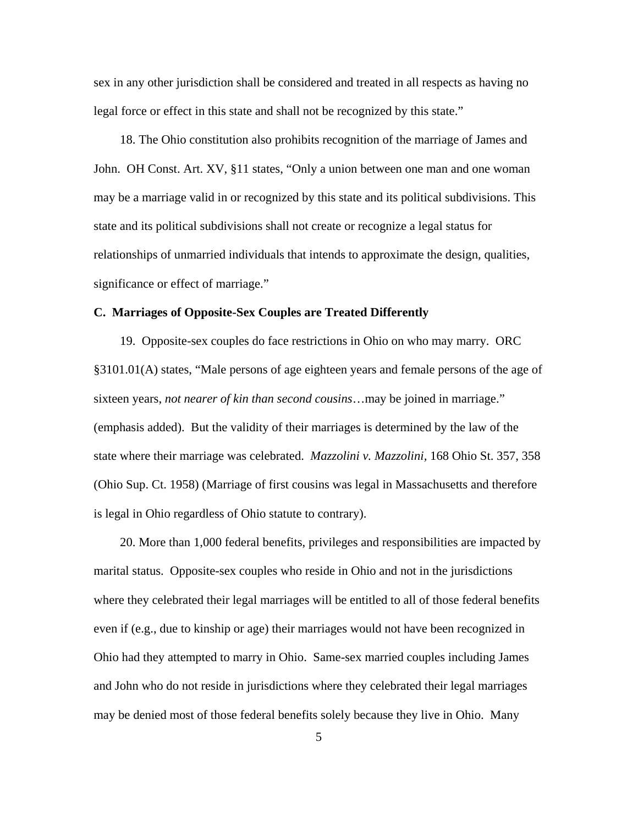sex in any other jurisdiction shall be considered and treated in all respects as having no legal force or effect in this state and shall not be recognized by this state."

18. The Ohio constitution also prohibits recognition of the marriage of James and John. OH Const. Art. XV, §11 states, "Only a union between one man and one woman may be a marriage valid in or recognized by this state and its political subdivisions. This state and its political subdivisions shall not create or recognize a legal status for relationships of unmarried individuals that intends to approximate the design, qualities, significance or effect of marriage."

### **C. Marriages of Opposite-Sex Couples are Treated Differently**

19. Opposite-sex couples do face restrictions in Ohio on who may marry. ORC §3101.01(A) states, "Male persons of age eighteen years and female persons of the age of sixteen years, *not nearer of kin than second cousins*…may be joined in marriage." (emphasis added). But the validity of their marriages is determined by the law of the state where their marriage was celebrated. *Mazzolini v. Mazzolini,* 168 Ohio St. 357, 358 (Ohio Sup. Ct. 1958) (Marriage of first cousins was legal in Massachusetts and therefore is legal in Ohio regardless of Ohio statute to contrary).

20. More than 1,000 federal benefits, privileges and responsibilities are impacted by marital status. Opposite-sex couples who reside in Ohio and not in the jurisdictions where they celebrated their legal marriages will be entitled to all of those federal benefits even if (e.g., due to kinship or age) their marriages would not have been recognized in Ohio had they attempted to marry in Ohio. Same-sex married couples including James and John who do not reside in jurisdictions where they celebrated their legal marriages may be denied most of those federal benefits solely because they live in Ohio. Many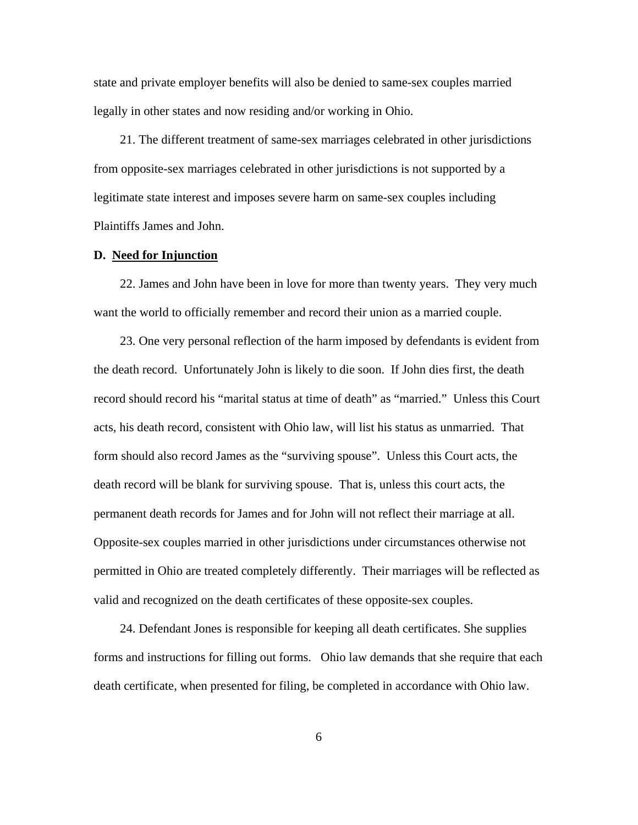state and private employer benefits will also be denied to same-sex couples married legally in other states and now residing and/or working in Ohio.

21. The different treatment of same-sex marriages celebrated in other jurisdictions from opposite-sex marriages celebrated in other jurisdictions is not supported by a legitimate state interest and imposes severe harm on same-sex couples including Plaintiffs James and John.

#### **D. Need for Injunction**

22. James and John have been in love for more than twenty years. They very much want the world to officially remember and record their union as a married couple.

23. One very personal reflection of the harm imposed by defendants is evident from the death record. Unfortunately John is likely to die soon. If John dies first, the death record should record his "marital status at time of death" as "married." Unless this Court acts, his death record, consistent with Ohio law, will list his status as unmarried. That form should also record James as the "surviving spouse". Unless this Court acts, the death record will be blank for surviving spouse. That is, unless this court acts, the permanent death records for James and for John will not reflect their marriage at all. Opposite-sex couples married in other jurisdictions under circumstances otherwise not permitted in Ohio are treated completely differently. Their marriages will be reflected as valid and recognized on the death certificates of these opposite-sex couples.

24. Defendant Jones is responsible for keeping all death certificates. She supplies forms and instructions for filling out forms. Ohio law demands that she require that each death certificate, when presented for filing, be completed in accordance with Ohio law.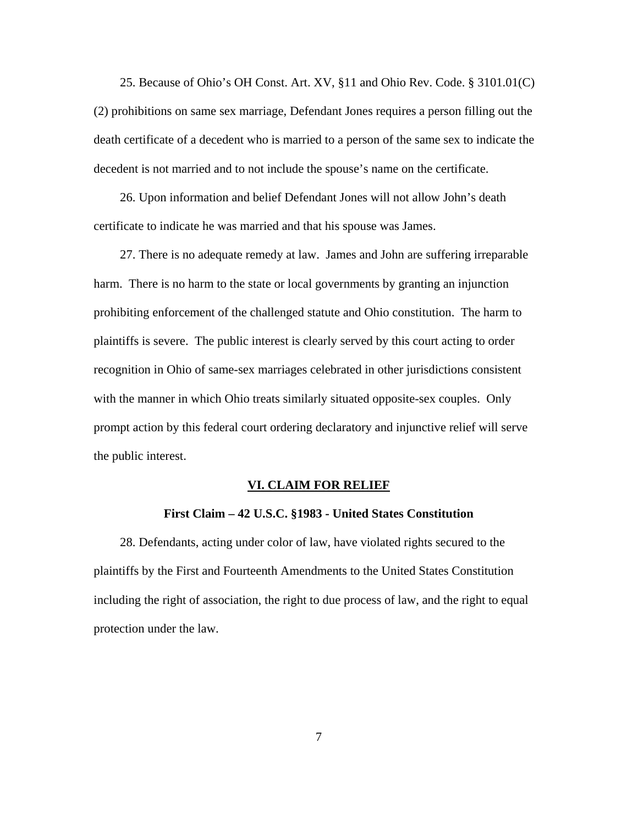25. Because of Ohio's OH Const. Art. XV, §11 and Ohio Rev. Code. § 3101.01(C) (2) prohibitions on same sex marriage, Defendant Jones requires a person filling out the death certificate of a decedent who is married to a person of the same sex to indicate the decedent is not married and to not include the spouse's name on the certificate.

26. Upon information and belief Defendant Jones will not allow John's death certificate to indicate he was married and that his spouse was James.

27. There is no adequate remedy at law. James and John are suffering irreparable harm. There is no harm to the state or local governments by granting an injunction prohibiting enforcement of the challenged statute and Ohio constitution. The harm to plaintiffs is severe. The public interest is clearly served by this court acting to order recognition in Ohio of same-sex marriages celebrated in other jurisdictions consistent with the manner in which Ohio treats similarly situated opposite-sex couples. Only prompt action by this federal court ordering declaratory and injunctive relief will serve the public interest.

#### **VI. CLAIM FOR RELIEF**

#### **First Claim – 42 U.S.C. §1983 - United States Constitution**

28. Defendants, acting under color of law, have violated rights secured to the plaintiffs by the First and Fourteenth Amendments to the United States Constitution including the right of association, the right to due process of law, and the right to equal protection under the law.